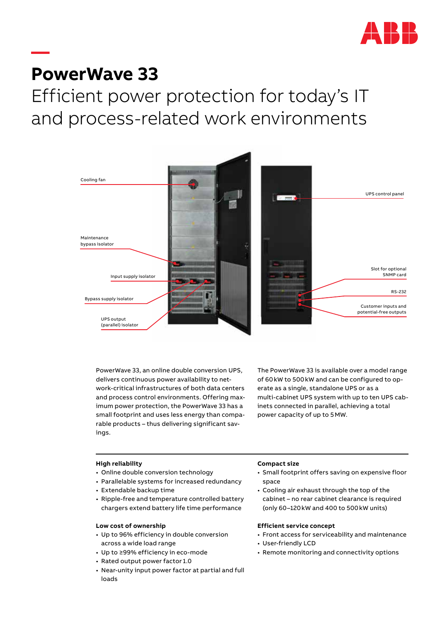

# **PowerWave 33**

**—**

Efficient power protection for today's IT and process-related work environments



PowerWave 33, an online double conversion UPS, delivers continuous power availability to network-critical infrastructures of both data centers and process control environments. Offering maximum power protection, the PowerWave 33 has a small footprint and uses less energy than comparable products – thus delivering significant savings.

The PowerWave 33 is available over a model range of 60kW to 500kW and can be configured to operate as a single, standalone UPS or as a multi-cabinet UPS system with up to ten UPS cabinets connected in parallel, achieving a total power capacity of up to 5MW.

## **High reliability**

- Online double conversion technology
- Parallelable systems for increased redundancy
- Extendable backup time
- Ripple-free and temperature controlled battery chargers extend battery life time performance

## **Low cost of ownership**

- Up to 96% efficiency in double conversion across a wide load range
- Up to ≥99% efficiency in eco-mode
- Rated output power factor 1.0
- Near-unity input power factor at partial and full loads

#### **Compact size**

- Small footprint offers saving on expensive floor space
- Cooling air exhaust through the top of the cabinet – no rear cabinet clearance is required (only 60–120kW and 400 to 500kW units)

## **Efficient service concept**

- Front access for serviceability and maintenance
- User-friendly LCD
- Remote monitoring and connectivity options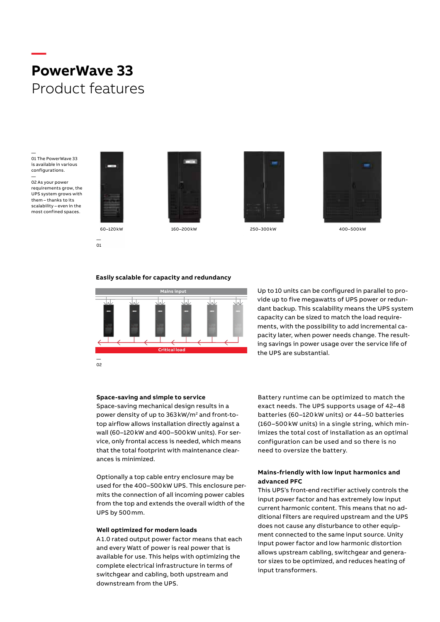# **— PowerWave 33** Product features

— 01

— 01 The PowerWave 33 is available in various configurations. —

02 As your power requirements grow, the UPS system grows with them – thanks to its scalability – even in the most confined spaces.











## **Easily scalable for capacity and redundancy**



Up to 10 units can be configured in parallel to provide up to five megawatts of UPS power or redundant backup. This scalability means the UPS system capacity can be sized to match the load requirements, with the possibility to add incremental capacity later, when power needs change. The resulting savings in power usage over the service life of the UPS are substantial.

#### **Space-saving and simple to service**

Space-saving mechanical design results in a power density of up to 363 kW/m<sup>2</sup> and front-totop airflow allows installation directly against a wall (60–120kW and 400–500kW units). For service, only frontal access is needed, which means that the total footprint with maintenance clearances is minimized.

Optionally a top cable entry enclosure may be used for the 400–500kW UPS. This enclosure permits the connection of all incoming power cables from the top and extends the overall width of the UPS by 500mm.

#### **Well optimized for modern loads**

A 1.0 rated output power factor means that each and every Watt of power is real power that is available for use. This helps with optimizing the complete electrical infrastructure in terms of switchgear and cabling, both upstream and downstream from the UPS.

Battery runtime can be optimized to match the exact needs. The UPS supports usage of 42–48 batteries (60 –120 kW units) or 44–50 batteries (160–500 kW units) in a single string, which minimizes the total cost of installation as an optimal configuration can be used and so there is no need to oversize the battery.

# **Mains-friendly with low input harmonics and advanced PFC**

This UPS's front-end rectifier actively controls the input power factor and has extremely low input current harmonic content. This means that no additional filters are required upstream and the UPS does not cause any disturbance to other equipment connected to the same input source. Unity input power factor and low harmonic distortion allows upstream cabling, switchgear and generator sizes to be optimized, and reduces heating of input transformers.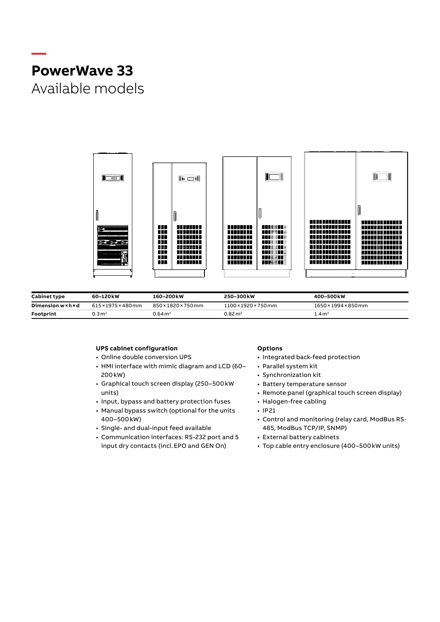# **— PowerWave 33** Available models



| <b>Cabinet type</b> | 60–120 kW           | 160-200kW             | 250–300 kW            | 400-500 kW                       |
|---------------------|---------------------|-----------------------|-----------------------|----------------------------------|
| Dimension w × h × d | 615×1975×480mm      | 850×1820×750mm        | 1100×1920×750mm       | $1650 \times 1994 \times 850$ mm |
| Footprint           | $0.3\,\mathrm{m}^2$ | $0.64 \,\mathrm{m}^2$ | $0.82 \,\mathrm{m}^2$ | .4m <sup>2</sup>                 |

## **UPS cabinet configuration**

- Online double conversion UPS
- HMI interface with mimic diagram and LCD (60– 200kW)
- Graphical touch screen display (250–500kW units)
- Input, bypass and battery protection fuses
- Manual bypass switch (optional for the units 400–500kW)
- Single- and dual-input feed available
- Communication interfaces: RS-232 port and 5 input dry contacts (incl.EPO and GEN On)

# **Options**

- Integrated back-feed protection
- Parallel system kit
- Synchronization kit
- Battery temperature sensor
- Remote panel (graphical touch screen display)
- Halogen-free cabling
- IP21
- Control and monitoring (relay card, ModBus RS-485, ModBus TCP/IP, SNMP)
- External battery cabinets
- Top cable entry enclosure (400–500kW units)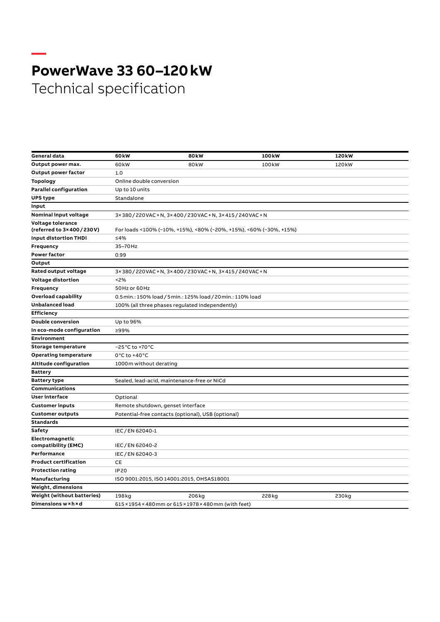# **— PowerWave 33 60–120 kW** Technical specification

| General data                      | 60 <sub>k</sub> w                                                  | 80 <sub>k</sub> w                              | 100 <sub>k</sub> w | 120 <sub>k</sub> w |  |  |  |  |  |
|-----------------------------------|--------------------------------------------------------------------|------------------------------------------------|--------------------|--------------------|--|--|--|--|--|
| Output power max.                 | 60kW                                                               | 80 <sub>k</sub> w                              | 100 <sub>k</sub> w | 120 <sub>k</sub> w |  |  |  |  |  |
| Output power factor               | 1.0                                                                |                                                |                    |                    |  |  |  |  |  |
| <b>Topology</b>                   | Online double conversion                                           |                                                |                    |                    |  |  |  |  |  |
| <b>Parallel configuration</b>     | Up to 10 units                                                     |                                                |                    |                    |  |  |  |  |  |
| <b>UPS type</b>                   | Standalone                                                         |                                                |                    |                    |  |  |  |  |  |
| Input                             |                                                                    |                                                |                    |                    |  |  |  |  |  |
| Nominal input voltage             |                                                                    | 3×380/220VAC+N, 3×400/230VAC+N, 3×415/240VAC+N |                    |                    |  |  |  |  |  |
| Voltage tolerance                 |                                                                    |                                                |                    |                    |  |  |  |  |  |
| (referred to 3×400/230V)          | For loads <100% (-10%, +15%), <80% (-20%, +15%), <60% (-30%, +15%) |                                                |                    |                    |  |  |  |  |  |
| <b>Input distortion THDi</b>      | ≤4%                                                                |                                                |                    |                    |  |  |  |  |  |
| Frequency                         | 35-70Hz                                                            |                                                |                    |                    |  |  |  |  |  |
| <b>Power factor</b>               | 0.99                                                               |                                                |                    |                    |  |  |  |  |  |
| Output                            |                                                                    |                                                |                    |                    |  |  |  |  |  |
| Rated output voltage              |                                                                    | 3×380/220VAC+N, 3×400/230VAC+N, 3×415/240VAC+N |                    |                    |  |  |  |  |  |
| <b>Voltage distortion</b>         | < 2%                                                               |                                                |                    |                    |  |  |  |  |  |
| Frequency                         | 50 Hz or 60 Hz                                                     |                                                |                    |                    |  |  |  |  |  |
| Overload capability               | 0.5 min.: 150% load / 5 min.: 125% load / 20 min.: 110% load       |                                                |                    |                    |  |  |  |  |  |
| <b>Unbalanced load</b>            | 100% (all three phases regulated independently)                    |                                                |                    |                    |  |  |  |  |  |
| <b>Efficiency</b>                 |                                                                    |                                                |                    |                    |  |  |  |  |  |
| <b>Double conversion</b>          | Up to 96%                                                          |                                                |                    |                    |  |  |  |  |  |
| In eco-mode configuration         | ≥99%                                                               |                                                |                    |                    |  |  |  |  |  |
| Environment                       |                                                                    |                                                |                    |                    |  |  |  |  |  |
| <b>Storage temperature</b>        | $-25^{\circ}$ C to +70 $^{\circ}$ C                                |                                                |                    |                    |  |  |  |  |  |
| <b>Operating temperature</b>      | 0°C to +40°C                                                       |                                                |                    |                    |  |  |  |  |  |
| Altitude configuration            | 1000m without derating                                             |                                                |                    |                    |  |  |  |  |  |
| <b>Battery</b>                    |                                                                    |                                                |                    |                    |  |  |  |  |  |
| <b>Battery type</b>               | Sealed, lead-acid, maintenance-free or NiCd                        |                                                |                    |                    |  |  |  |  |  |
| <b>Communications</b>             |                                                                    |                                                |                    |                    |  |  |  |  |  |
| <b>User interface</b>             | Optional                                                           |                                                |                    |                    |  |  |  |  |  |
| <b>Customer inputs</b>            | Remote shutdown, genset interface                                  |                                                |                    |                    |  |  |  |  |  |
| <b>Customer outputs</b>           | Potential-free contacts (optional), USB (optional)                 |                                                |                    |                    |  |  |  |  |  |
| <b>Standards</b>                  |                                                                    |                                                |                    |                    |  |  |  |  |  |
| Safety                            | IEC/EN 62040-1                                                     |                                                |                    |                    |  |  |  |  |  |
| Electromagnetic                   |                                                                    |                                                |                    |                    |  |  |  |  |  |
| compatibility (EMC)               | IEC/EN 62040-2                                                     |                                                |                    |                    |  |  |  |  |  |
| Performance                       | IEC/EN 62040-3                                                     |                                                |                    |                    |  |  |  |  |  |
| <b>Product certification</b>      | CE                                                                 |                                                |                    |                    |  |  |  |  |  |
| <b>Protection rating</b>          | <b>IP20</b>                                                        |                                                |                    |                    |  |  |  |  |  |
| Manufacturing                     | ISO 9001:2015, ISO 14001:2015, OHSAS18001                          |                                                |                    |                    |  |  |  |  |  |
| Weight, dimensions                |                                                                    |                                                |                    |                    |  |  |  |  |  |
| <b>Weight (without batteries)</b> | 198 kg                                                             | 206kg                                          | 228kg              | 230kg              |  |  |  |  |  |
| Dimensions w × h × d              | 615 × 1954 × 480 mm or 615 × 1978 × 480 mm (with feet)             |                                                |                    |                    |  |  |  |  |  |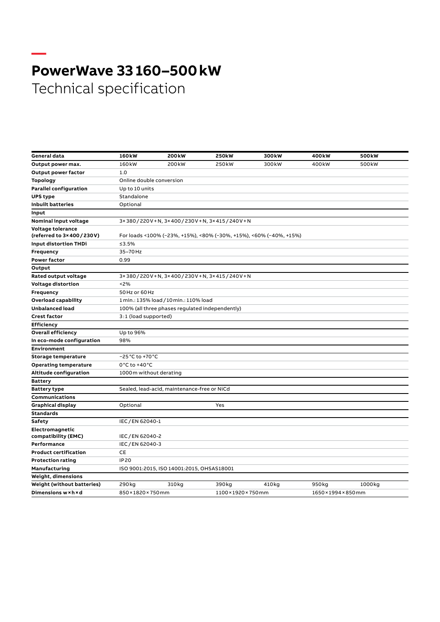# **— PowerWave 33 160–500 kW** Technical specification

| General data                      | 160 <sub>k</sub> w                        | 200 <sub>k</sub> w                                                 | <b>250kW</b>                                    | 300 <sub>k</sub> w | 400 <sub>k</sub> w | 500 <sub>k</sub> w |  |  |  |  |  |
|-----------------------------------|-------------------------------------------|--------------------------------------------------------------------|-------------------------------------------------|--------------------|--------------------|--------------------|--|--|--|--|--|
| Output power max.                 | 160 <sub>k</sub> w                        | 200 <sub>k</sub> w                                                 | 250 <sub>kW</sub>                               | 300kW              | 400 <sub>k</sub> w | 500 <sub>k</sub> w |  |  |  |  |  |
| Output power factor               | 1.0                                       |                                                                    |                                                 |                    |                    |                    |  |  |  |  |  |
| <b>Topology</b>                   | Online double conversion                  |                                                                    |                                                 |                    |                    |                    |  |  |  |  |  |
| <b>Parallel configuration</b>     | Up to 10 units                            |                                                                    |                                                 |                    |                    |                    |  |  |  |  |  |
| <b>UPS type</b>                   | Standalone                                |                                                                    |                                                 |                    |                    |                    |  |  |  |  |  |
| <b>Inbuilt batteries</b>          | Optional                                  |                                                                    |                                                 |                    |                    |                    |  |  |  |  |  |
| Input                             |                                           |                                                                    |                                                 |                    |                    |                    |  |  |  |  |  |
| Nominal input voltage             |                                           | 3×380/220V+N,3×400/230V+N,3×415/240V+N                             |                                                 |                    |                    |                    |  |  |  |  |  |
| Voltage tolerance                 |                                           |                                                                    |                                                 |                    |                    |                    |  |  |  |  |  |
| (referred to 3×400/230V)          |                                           | For loads <100% (-23%, +15%), <80% (-30%, +15%), <60% (-40%, +15%) |                                                 |                    |                    |                    |  |  |  |  |  |
| Input distortion THDi             | ≤3.5%                                     |                                                                    |                                                 |                    |                    |                    |  |  |  |  |  |
| Frequency                         | 35-70 Hz                                  |                                                                    |                                                 |                    |                    |                    |  |  |  |  |  |
| <b>Power factor</b>               | 0.99                                      |                                                                    |                                                 |                    |                    |                    |  |  |  |  |  |
| Output                            |                                           |                                                                    |                                                 |                    |                    |                    |  |  |  |  |  |
| Rated output voltage              |                                           |                                                                    | 3×380/220V+N,3×400/230V+N,3×415/240V+N          |                    |                    |                    |  |  |  |  |  |
| Voltage distortion                | 2%                                        |                                                                    |                                                 |                    |                    |                    |  |  |  |  |  |
| Frequency                         | 50Hz or 60Hz                              |                                                                    |                                                 |                    |                    |                    |  |  |  |  |  |
| <b>Overload capability</b>        | 1 min.: 135% load / 10 min.: 110% load    |                                                                    |                                                 |                    |                    |                    |  |  |  |  |  |
| <b>Unbalanced load</b>            |                                           |                                                                    | 100% (all three phases regulated independently) |                    |                    |                    |  |  |  |  |  |
| <b>Crest factor</b>               | 3:1 (load supported)                      |                                                                    |                                                 |                    |                    |                    |  |  |  |  |  |
| <b>Efficiency</b>                 |                                           |                                                                    |                                                 |                    |                    |                    |  |  |  |  |  |
| <b>Overall efficiency</b>         | Up to 96%                                 |                                                                    |                                                 |                    |                    |                    |  |  |  |  |  |
| In eco-mode configuration         | 98%                                       |                                                                    |                                                 |                    |                    |                    |  |  |  |  |  |
| Environment                       |                                           |                                                                    |                                                 |                    |                    |                    |  |  |  |  |  |
| Storage temperature               | -25 °C to +70 °C                          |                                                                    |                                                 |                    |                    |                    |  |  |  |  |  |
| <b>Operating temperature</b>      | $0^{\circ}$ C to +40 $^{\circ}$ C         |                                                                    |                                                 |                    |                    |                    |  |  |  |  |  |
| Altitude configuration            |                                           | 1000m without derating                                             |                                                 |                    |                    |                    |  |  |  |  |  |
| <b>Battery</b>                    |                                           |                                                                    |                                                 |                    |                    |                    |  |  |  |  |  |
| <b>Battery type</b>               |                                           | Sealed, lead-acid, maintenance-free or NiCd                        |                                                 |                    |                    |                    |  |  |  |  |  |
| <b>Communications</b>             |                                           |                                                                    |                                                 |                    |                    |                    |  |  |  |  |  |
| <b>Graphical display</b>          | Optional                                  |                                                                    | Yes                                             |                    |                    |                    |  |  |  |  |  |
| <b>Standards</b>                  |                                           |                                                                    |                                                 |                    |                    |                    |  |  |  |  |  |
| Safety                            | IEC/EN 62040-1                            |                                                                    |                                                 |                    |                    |                    |  |  |  |  |  |
| Electromagnetic                   |                                           |                                                                    |                                                 |                    |                    |                    |  |  |  |  |  |
| compatibility (EMC)               | IEC/EN 62040-2                            |                                                                    |                                                 |                    |                    |                    |  |  |  |  |  |
| Performance                       | IEC/EN 62040-3                            |                                                                    |                                                 |                    |                    |                    |  |  |  |  |  |
| <b>Product certification</b>      | CE                                        |                                                                    |                                                 |                    |                    |                    |  |  |  |  |  |
| <b>Protection rating</b>          | <b>IP20</b>                               |                                                                    |                                                 |                    |                    |                    |  |  |  |  |  |
| Manufacturing                     | ISO 9001:2015, ISO 14001:2015, OHSAS18001 |                                                                    |                                                 |                    |                    |                    |  |  |  |  |  |
| Weight, dimensions                |                                           |                                                                    |                                                 |                    |                    |                    |  |  |  |  |  |
| <b>Weight (without batteries)</b> | 290kg                                     | 310kg                                                              | 390kg                                           | 410kg              | 950 <sub>kg</sub>  | 1000kg             |  |  |  |  |  |
| Dimensions w × h × d              | 850×1820×750mm                            |                                                                    |                                                 | 1100×1920×750mm    |                    | 1650×1994×850mm    |  |  |  |  |  |